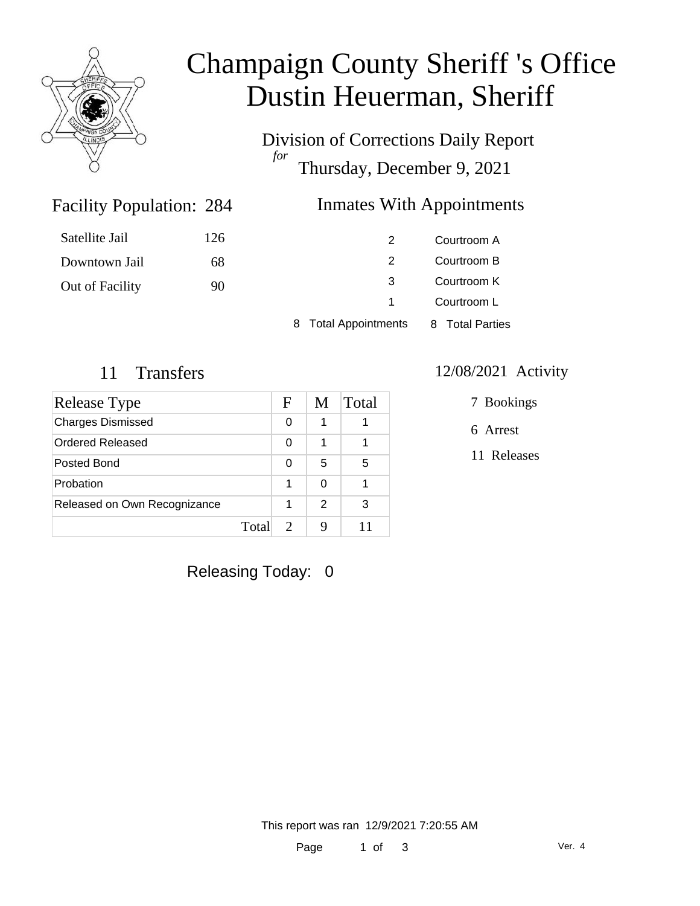

# Champaign County Sheriff 's Office Dustin Heuerman, Sheriff

Division of Corrections Daily Report *for* Thursday, December 9, 2021

### Inmates With Appointments

| Satellite Jail  | 126 |                      | Courtroom A     |
|-----------------|-----|----------------------|-----------------|
| Downtown Jail   | 68  |                      | Courtroom B     |
| Out of Facility | 90  |                      | Courtroom K     |
|                 |     |                      | Courtroom L     |
|                 |     | 8 Total Appointments | 8 Total Parties |

Facility Population: 284

| Release Type                 | F     | M             | Total |
|------------------------------|-------|---------------|-------|
| <b>Charges Dismissed</b>     | 0     | 1             |       |
| Ordered Released             | 0     | 1             |       |
| Posted Bond                  | 0     | 5             | 5     |
| Probation                    | 1     | 0             |       |
| Released on Own Recognizance | 1     | $\mathcal{P}$ | 3     |
|                              | Total |               |       |

#### 11 Transfers 12/08/2021 Activity

7 Bookings

6 Arrest

11 Releases

Releasing Today: 0

This report was ran 12/9/2021 7:20:55 AM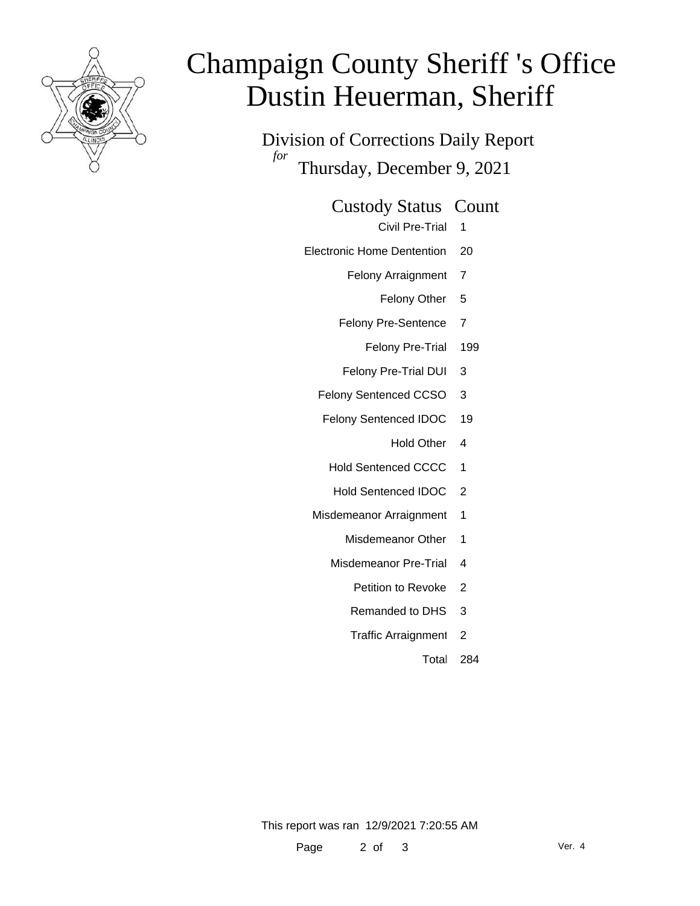

# Champaign County Sheriff 's Office Dustin Heuerman, Sheriff

Division of Corrections Daily Report *for* Thursday, December 9, 2021

Custody Status Count

Civil Pre-Trial 1

- Electronic Home Dentention 20
	- Felony Arraignment 7
		- Felony Other 5
	- Felony Pre-Sentence 7
		- Felony Pre-Trial 199
	- Felony Pre-Trial DUI 3
	- Felony Sentenced CCSO 3
	- Felony Sentenced IDOC 19
		- Hold Other 4
		- Hold Sentenced CCCC 1
		- Hold Sentenced IDOC 2
	- Misdemeanor Arraignment 1
		- Misdemeanor Other 1
		- Misdemeanor Pre-Trial 4
			- Petition to Revoke 2
			- Remanded to DHS 3
			- Traffic Arraignment 2

Total 284